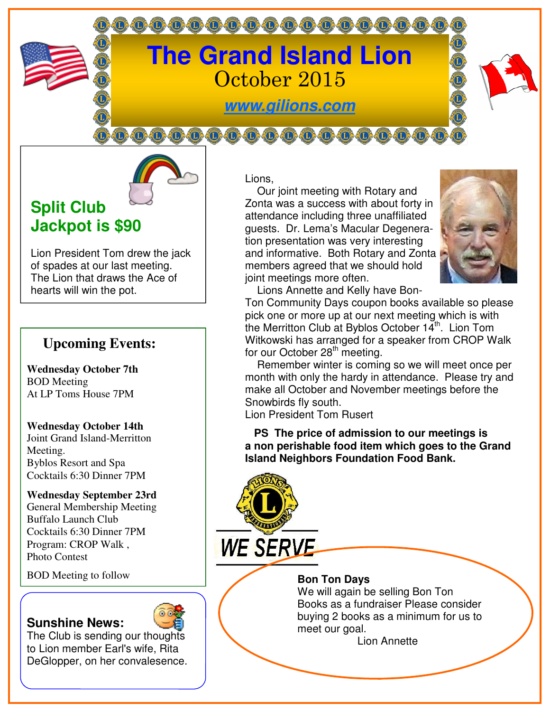

0000000000000000000



# **Split Club Jackpot is \$90**

Lion President Tom drew the jack of spades at our last meeting. The Lion that draws the Ace of hearts will win the pot.

# **Upcoming Events:**

**Wednesday October 7th**  BOD Meeting At LP Toms House 7PM

#### **Wednesday October 14th**

Joint Grand Island-Merritton Meeting. Byblos Resort and Spa Cocktails 6:30 Dinner 7PM

**Wednesday September 23rd**  General Membership Meeting Buffalo Launch Club Cocktails 6:30 Dinner 7PM Program: CROP Walk , Photo Contest

**BOD** Meeting to follow **BOD Bon Ton Days** 

### **Sunshine News:**



The Club is sending our thoughts to Lion member Earl's wife, Rita DeGlopper, on her convalesence. Lions,

 Our joint meeting with Rotary and Zonta was a success with about forty in attendance including three unaffiliated guests. Dr. Lema's Macular Degeneration presentation was very interesting and informative. Both Rotary and Zonta members agreed that we should hold joint meetings more often.



Lions Annette and Kelly have Bon-

Ton Community Days coupon books available so please pick one or more up at our next meeting which is with the Merritton Club at Byblos October 14<sup>th</sup>. Lion Tom Witkowski has arranged for a speaker from CROP Walk for our October 28<sup>th</sup> meeting.

 Remember winter is coming so we will meet once per month with only the hardy in attendance. Please try and make all October and November meetings before the Snowbirds fly south.

Lion President Tom Rusert

**WE SERVE** 

 **PS The price of admission to our meetings is a non perishable food item which goes to the Grand Island Neighbors Foundation Food Bank.**

We will again be selling Bon Ton Books as a fundraiser Please consider buying 2 books as a minimum for us to meet our goal.

Lion Annette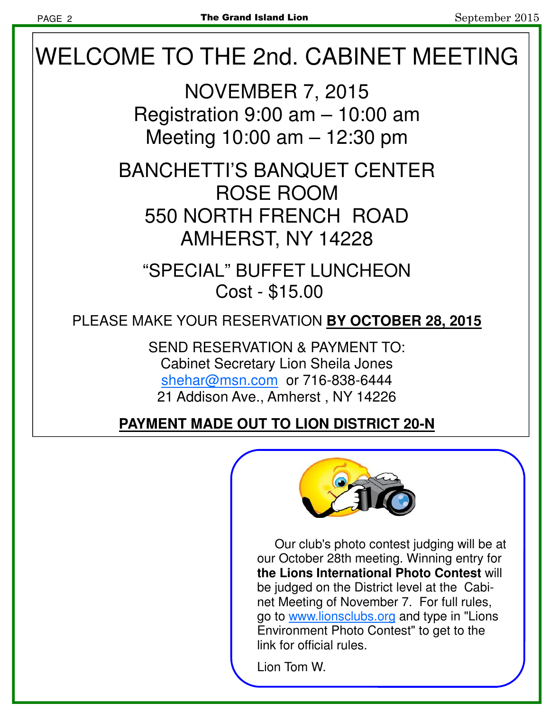# WELCOME TO THE 2nd. CABINET MEETING

NOVEMBER 7, 2015 Registration 9:00 am – 10:00 am Meeting 10:00 am – 12:30 pm

BANCHETTI'S BANQUET CENTER ROSE ROOM 550 NORTH FRENCH ROAD AMHERST, NY 14228

"SPECIAL" BUFFET LUNCHEON Cost - \$15.00

PLEASE MAKE YOUR RESERVATION **BY OCTOBER 28, 2015**

SEND RESERVATION & PAYMENT TO: Cabinet Secretary Lion Sheila Jones shehar@msn.com or 716-838-6444 21 Addison Ave., Amherst , NY 14226

**PAYMENT MADE OUT TO LION DISTRICT 20-N**



 Our club's photo contest judging will be at our October 28th meeting. Winning entry for **the Lions International Photo Contest** will be judged on the District level at the Cabinet Meeting of November 7. For full rules, go to www.lionsclubs.org and type in "Lions Environment Photo Contest" to get to the link for official rules.

Lion Tom W.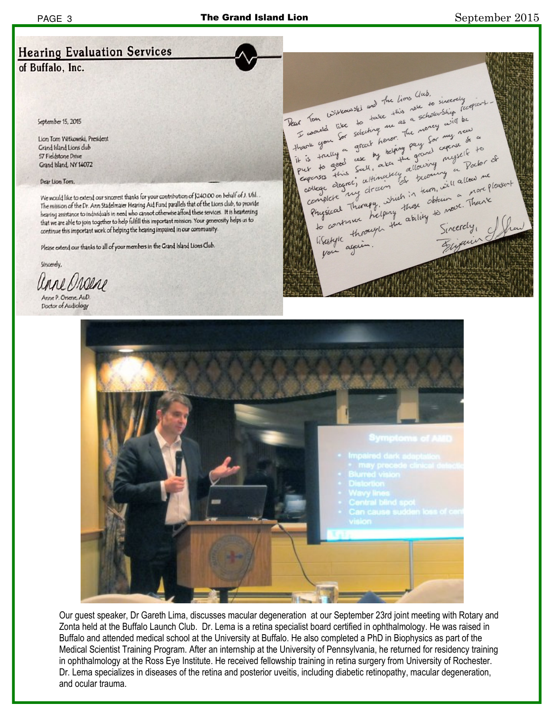## **Hearing Evaluation Services**

of Buffalo, Inc.

September 15, 2015

Lion Tom Witkowski, President Grand Island Lions club 57 Fieldstone Drive Grand Island, NY 14072

Dear Lion Tom

We would like to extend our sincerest thanks for your contribution of \$240.00 on behalf of J. Uhl. The mission of the Dr. Ann Stadelmaier Hearing Aid Fund parallels that of the Lions club, to provide hearing assistance to individuals in need who cannot otherwise afford these services. It is heartening that we are able to join together to help fulfill this important mission. Your generosity helps us to continue this important work of helping the hearing impaired in our community.

Please extend our thanks to all of your members in the Grand Island Lions Club.

Sincerely.

Unne Magene

Anne P. Orsene, AuD. **Doctor of Audiology** 





Our guest speaker, Dr Gareth Lima, discusses macular degeneration at our September 23rd joint meeting with Rotary and Zonta held at the Buffalo Launch Club. Dr. Lema is a retina specialist board certified in ophthalmology. He was raised in Buffalo and attended medical school at the University at Buffalo. He also completed a PhD in Biophysics as part of the Medical Scientist Training Program. After an internship at the University of Pennsylvania, he returned for residency training in ophthalmology at the Ross Eye Institute. He received fellowship training in retina surgery from University of Rochester. Dr. Lema specializes in diseases of the retina and posterior uveitis, including diabetic retinopathy, macular degeneration, and ocular trauma.